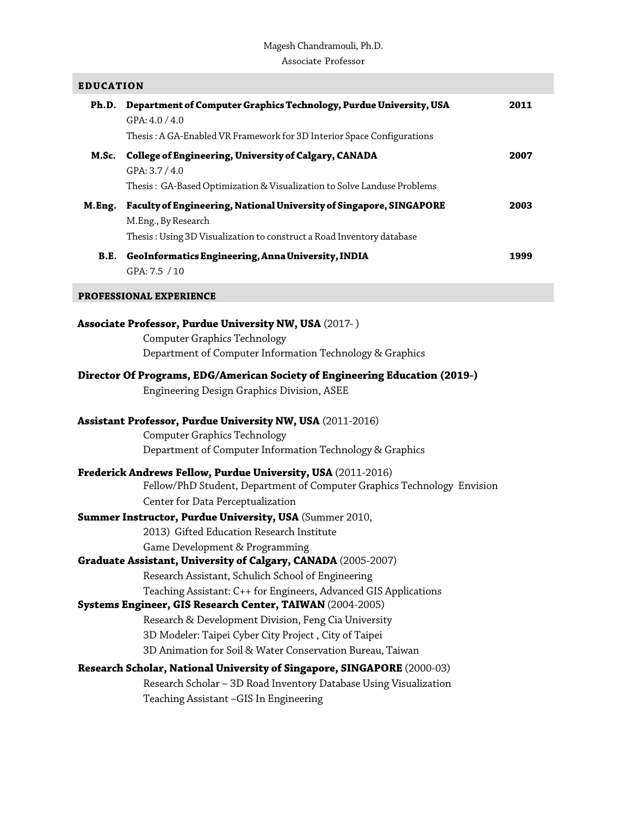# Magesh Chandramouli, Ph.D. Associate Professor

I

| <b>EDUCATION</b>                                                                                                  |                                                                            |      |
|-------------------------------------------------------------------------------------------------------------------|----------------------------------------------------------------------------|------|
| Ph.D.                                                                                                             | Department of Computer Graphics Technology, Purdue University, USA         | 2011 |
|                                                                                                                   | GPA: 4.0 / 4.0                                                             |      |
|                                                                                                                   | Thesis: A GA-Enabled VR Framework for 3D Interior Space Configurations     |      |
| M.Sc.                                                                                                             | College of Engineering, University of Calgary, CANADA                      | 2007 |
|                                                                                                                   | GPA: 3.7 / 4.0                                                             |      |
|                                                                                                                   | Thesis: GA-Based Optimization & Visualization to Solve Landuse Problems    |      |
|                                                                                                                   | M.Eng. Faculty of Engineering, National University of Singapore, SINGAPORE | 2003 |
|                                                                                                                   | M.Eng., By Research                                                        |      |
|                                                                                                                   | Thesis: Using 3D Visualization to construct a Road Inventory database      |      |
|                                                                                                                   | B.E. GeoInformatics Engineering, Anna University, INDIA                    | 1999 |
|                                                                                                                   | GPA: 7.5 / 10                                                              |      |
| <b>PROFESSIONAL EXPERIENCE</b>                                                                                    |                                                                            |      |
|                                                                                                                   |                                                                            |      |
|                                                                                                                   | <b>Associate Professor, Purdue University NW, USA (2017-)</b>              |      |
|                                                                                                                   | <b>Computer Graphics Technology</b>                                        |      |
|                                                                                                                   | Department of Computer Information Technology & Graphics                   |      |
| <b>Director Of Programs, EDG/American Society of Engineering Education (2019-)</b>                                |                                                                            |      |
|                                                                                                                   | Engineering Design Graphics Division, ASEE                                 |      |
|                                                                                                                   |                                                                            |      |
| Assistant Professor, Purdue University NW, USA (2011-2016)                                                        |                                                                            |      |
|                                                                                                                   | <b>Computer Graphics Technology</b>                                        |      |
|                                                                                                                   | Department of Computer Information Technology & Graphics                   |      |
| Frederick Andrews Fellow, Purdue University, USA (2011-2016)                                                      |                                                                            |      |
|                                                                                                                   | Fellow/PhD Student, Department of Computer Graphics Technology Envision    |      |
|                                                                                                                   | Center for Data Perceptualization                                          |      |
|                                                                                                                   | Summer Instructor, Purdue University, USA (Summer 2010,                    |      |
|                                                                                                                   | 2013) Gifted Education Research Institute                                  |      |
|                                                                                                                   | Game Development & Programming                                             |      |
| Graduate Assistant, University of Calgary, CANADA (2005-2007)                                                     |                                                                            |      |
|                                                                                                                   | Research Assistant, Schulich School of Engineering                         |      |
|                                                                                                                   | Teaching Assistant: C++ for Engineers, Advanced GIS Applications           |      |
| Systems Engineer, GIS Research Center, TAIWAN (2004-2005)<br>Research & Development Division, Feng Cia University |                                                                            |      |
|                                                                                                                   | 3D Modeler: Taipei Cyber City Project, City of Taipei                      |      |
|                                                                                                                   | 3D Animation for Soil & Water Conservation Bureau, Taiwan                  |      |
|                                                                                                                   |                                                                            |      |
| Research Scholar, National University of Singapore, SINGAPORE (2000-03)                                           |                                                                            |      |
|                                                                                                                   | Research Scholar - 3D Road Inventory Database Using Visualization          |      |
|                                                                                                                   | Teaching Assistant -GIS In Engineering                                     |      |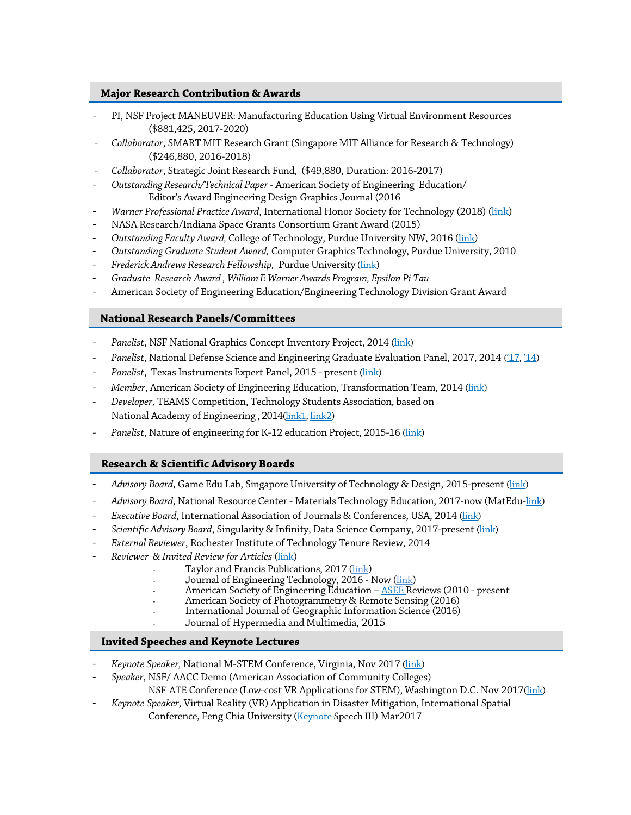## **Major Research Contribution & Awards**

- PI, NSF Project MANEUVER: Manufacturing Education Using Virtual Environment Resources (\$881,425, 2017-2020[\)](https://nsf.gov/awardsearch/showAward?AWD_ID=1700674&amp%3BHistoricalAwards=false)
- *Collaborator*, SMART MIT Research Grant(Singapore MIT Alliance for Research & Technolog[y\)](https://drive.google.com/open?id=1yeeGLAOgPFB89zOatuQZoZ7_BmZH6HwX) (\$246,880, 2016-2018)
- *Collaborator*, Strategic Joint Research Fund, (\$49,880, Duration: 2016-2017)
- *Outstanding Research/Technical Paper* American Society of Engineering Education/ Editor's Award Engineering Design [Graphics](https://drive.google.com/open?id=11sHeuCFnuZZuT27IK9W_wlsOtR9-je6l) Journal (2016
- *Warner Professional Practice Award*, International Honor Society for Technology (2018) [\(link\)](https://academics.pnw.edu/technology/recipient-of-the-2018-warner-professional-practice-award/)
- NASA Research/Indiana Space Grants Consortium Grant Award (2015)
- *Outstanding Faculty Award,* College of Technology, Purdue University NW, 2016 [\(link\)](https://drive.google.com/open?id=1n5sb_GCOJtImpcnlTsl3fTQGVxzWIEaV)
- *Outstanding Graduate Student Award,* Computer Graphics Technology, Purdue University, 2010
- *Frederick Andrews Research Fellowship,* Purdue University [\(link\)](https://drive.google.com/open?id=14cE3jhI2QXr9rVpVBZF9kFXoV5kqtQw7)
- *Graduate Research Award , William E Warner Awards Program, Epsilon Pi Tau*
- American Society of Engineering Education/Engineering Technology Division Grant Award

## **National Research Panels/Committees**

- Panelist, NSF National Graphics Concept Inventory Project, 2014 [\(link\)](https://drive.google.com/open?id=1JUqNTCAgOkUkJcOrPM2irzMX5iw_eBpQ)
- *Panelist*, National Defense Science and Engineering Graduate Evaluation Panel, 2017, 2014 [\('17,](https://drive.google.com/open?id=1dozSNVRBiGqCmqMtkuWkZJVaMV6A8Zh5) ['14\)](https://drive.google.com/open?id=13MB_rqxHoUzspfEjvTCAqPRYfccDQWYY)
- Panelist, Texas Instruments Expert Panel, 2015 present [\(link\)](https://drive.google.com/open?id=1_5MMFyaEKxdGWwek8s05O3qROF8RF-2P)
- *Member*, American Society of Engineering Education, Transformation Team, 2014 [\(link\)](https://drive.google.com/open?id=1l3JH4v1JiPeIzZWrpQyf-Y47lg72_rF0)
- *Developer,* TEAMS Competition, Technology Students Association, based on National Academy of Engineering , 201[4\(link1,](https://drive.google.com/open?id=1iC9l_O_HnT0aWnBfR0RNHC-9NKk74dK-) [link2\)](https://drive.google.com/open?id=1wvsZs91E7N8E9juPKAJOOKkWSMdL_eVd)
- *Panelist*, Nature of engineering for K-12 education Project, 2015-16 [\(link\)](https://drive.google.com/open?id=1scAm4QmN4LzCGuL1xXHz2srz8rFCP_cp)

# **Research & Scientific Advisory Boards**

- *Advisory Board*, Game Edu Lab, Singapore University of Technology & Design, 2015-present [\(link\)](https://drive.google.com/open?id=1FYMt15wqYAputcQPvgXGjgx2xl1oLoxR)
- *Advisory Board*, National Resource Center Materials Technology Education, 2017-now (MatEdu[-link\)](http://materialseducation.org/about/national-advisory-board/)
- *Executive Board*, International Association of Journals & Conferences, USA, 2014 [\(link\)](https://drive.google.com/open?id=1JDeDt1xTLEaysOJNF5kT8QztgHtIvO9h)
- *Scientific Advisory Board*, Singularity & Infinity, Data Science Company, 2017-present [\(link\)](https://chunglankun.wixsite.com/saico/scientific-board)
	- **External Reviewer, Rochester Institute of Technology Tenure Review, 2014**
- *Reviewer & Invited Review for Articles* [\(link\)](https://drive.google.com/open?id=1MOMJukNfypQp8gN0qXd9DoSAwqMPbTPa)
	- Taylor and Francis Publications, 2017 [\(link\)](https://drive.google.com/open?id=1W6WQPYgacUmrDANB9psojvROoBQqve7_)
		- Journal of Engineering Technology, 2016 Now [\(link\)](https://drive.google.com/open?id=1yjeo3tVudFG_JZz5piWk52pWWAEWRXLk)
		- American Society of Engineering Education <u>ASEE</u> Reviews (2010 present
		- American Society of Photogrammetry & Remote Sensing (2016)
		- International Journal of Geographic Information Science (2016)
	- Journal of Hypermedia and Multimedia, 2015

#### **Invited Speeches and Keynote Lectures**

-

- Keynote Speaker, National M-STEM Conference, Virginia, Nov 2017 [\(link\)](https://drive.google.com/open?id=11flKgIMIaLgZZ8Ni5-kNO2xBIVJAvnMT)
- *Speaker*, NSF/ AACC Demo (American Association of Community Colleges) NSF-ATE Conference (Low-cost VR Applications for STEM), Washington D.C. Nov 201[7\(link\)](https://drive.google.com/open?id=1d7qG3qPwSW383WDy0q9ovnZ3tWgpUdb5)
- *Keynote Speaker*, Virtual Reality (VR) Application in Disaster Mitigation, International Spatial Conference, Feng Chia University [\(Keynote](http://2017lslc.swcb.gov.tw/2017lslc/Agenda_Crumble_SeminarEN.aspx) Speech III) Mar2017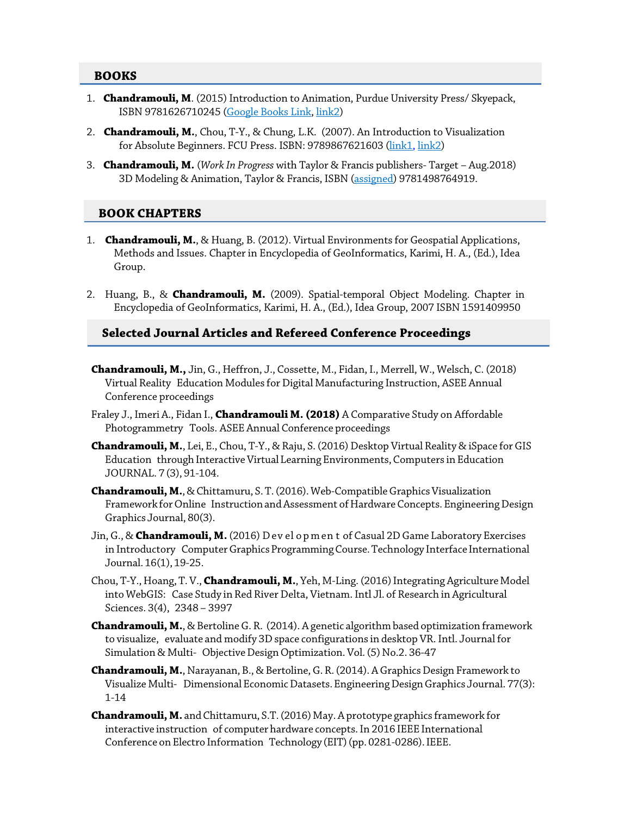#### **BOOKS**

- 1. **Chandramouli, M**. (2015) Introduction to Animation, Purdue University Press/ Skyepack, ISBN 9781626710245 [\(Google Books Link,](https://books.google.com/books/about/Introduction_to_3D_Animation.html?id=iFTOoQEACAAJ) [link2\)](https://drive.google.com/open?id=1DjOr6V91VegfWsDZaCeIXigQ_FN_8Qt4)
- 2. **Chandramouli, M.**, Chou, T-Y., & Chung, L.K. (2007). An Introduction to Visualization for Absolute Beginners. FCU Press. ISBN: 9789867621603 [\(link1](http://www.gis.tw/epaper/20070807/3_new_book_release.htm)[, link2\)](http://web.ics.purdue.edu/%7Emchandr/docs/book_2007.pdf)
- 3. **Chandramouli, M.** (*Work In Progress* with Taylor & Francis publishers- Target Aug.2018) 3D Modeling & Animation, Taylor & Francis, ISBN [\(assigned\)](https://www.tldonline.com.au/title/isbn/9781498764919) 9781498764919.

# **BOOK CHAPTERS**

- 1. **Chandramouli, M.**, & Huang, B. (2012). Virtual Environments for Geospatial Applications, Methods and Issues. Chapter in Encyclopedia of GeoInformatics, Karimi, H. A., (Ed.), Idea Group.
- 2. Huang, B., & **Chandramouli, M.** (2009). Spatial-temporal Object Modeling. Chapter in Encyclopedia of GeoInformatics, Karimi, H. A., (Ed.), Idea Group, 2007 ISBN 1591409950

# **Selected Journal Articles and Refereed Conference Proceedings**

- **Chandramouli, M.,** Jin, G., Heffron, J., Cossette, M., Fidan, I., Merrell, W., Welsch, C. (2018) Virtual Reality Education Modules for Digital Manufacturing Instruction, ASEE Annual Conference proceedings
- Fraley J., Imeri A., Fidan I., **Chandramouli M. (2018)** A Comparative Study on Affordable Photogrammetry Tools. ASEE Annual Conference proceedings
- **Chandramouli, M.**, Lei, E., Chou, T-Y., & Raju, S. (2016) Desktop Virtual Reality & iSpace forGIS Education through Interactive Virtual Learning Environments, Computers in Education JOURNAL. 7 (3), 91-104.
- **Chandramouli, M.**, & Chittamuru, S. T. (2016). Web-Compatible Graphics Visualization Framework for Online Instruction and Assessment of Hardware Concepts. Engineering Design Graphics Journal, 80(3).
- Jin,G., & **Chandramouli, M.** (2016) D ev el o p m en t of Casual 2DGame Laboratory Exercises in Introductory Computer Graphics Programming Course. Technology Interface International Journal. 16(1), 19-25.
- Chou, T-Y., Hoang, T.V., **Chandramouli, M.**, Yeh, M-Ling. (2016) Integrating Agriculture Model into WebGIS: Case Study in Red River Delta, Vietnam. Intl Jl. of Research in Agricultural Sciences. 3(4), 2348 – 3997
- **Chandramouli, M.**, & BertolineG. R. (2014). A genetic algorithm based optimization framework to visualize, evaluate and modify 3D space configurations in desktop VR. Intl. Journal for Simulation & Multi- Objective Design Optimization. Vol. (5) No.2. 36-47
- **Chandramouli, M.**, Narayanan, B., & Bertoline, G. R. (2014). A Graphics Design Framework to Visualize Multi- DimensionalEconomicDatasets.EngineeringDesignGraphics Journal. 77(3): 1-14
- **Chandramouli, M.** andChittamuru, S.T.(2016) May. A prototype graphics framework for interactive instruction of computer hardware concepts.In 2016 IEEE International Conference on Electro Information Technology (EIT) (pp. 0281-0286). IEEE.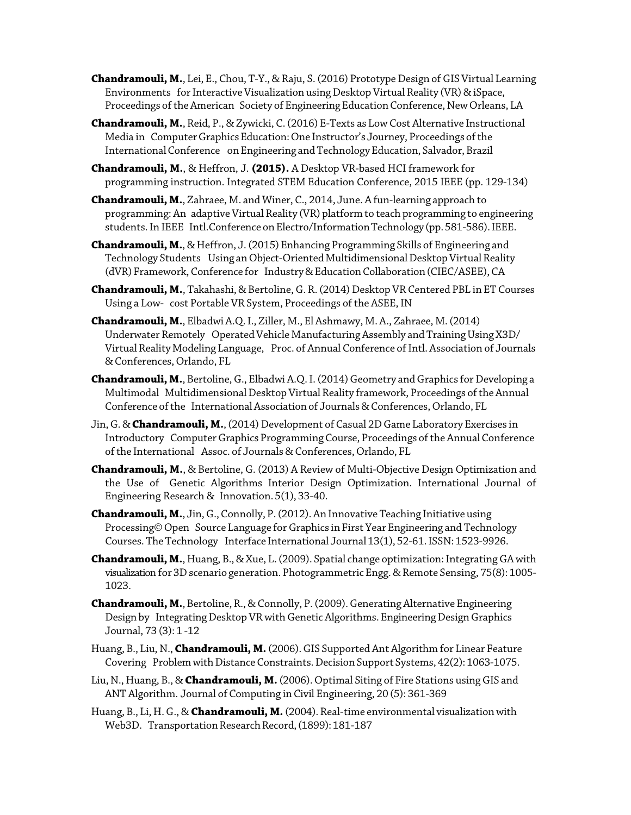**Chandramouli, M.**, Lei, E., Chou, T-Y., & Raju, S. (2016) Prototype Design of GIS Virtual Learning Environments for Interactive Visualization using Desktop Virtual Reality (VR) & iSpace, Proceedings of the American Society of Engineering Education Conference, New Orleans, LA

**Chandramouli, M.**, Reid, P., & Zywicki, C. (2016) E-Texts as LowCost Alternative Instructional Media in Computer Graphics Education: One Instructor's Journey, Proceedings of the InternationalConference onEngineering andTechnologyEducation, Salvador,Brazil

**Chandramouli, M.**, & Heffron, J. **(2015).** A Desktop VR-based HCI framework for programming instruction. Integrated STEM Education Conference, 2015 IEEE (pp. 129-134)

**Chandramouli, M.**, Zahraee, M. and Winer, C., 2014, June. A fun-learning approach to programming: An adaptive Virtual Reality (VR) platform to teach programming to engineering students. In IEEE Intl. Conference on Electro/Information Technology (pp. 581-586). IEEE.

**Chandramouli, M.**, & Heffron, J.(2015) Enhancing Programming Skills of Engineering and Technology Students Using an Object-Oriented Multidimensional Desktop Virtual Reality (dVR) Framework, Conference for Industry & Education Collaboration (CIEC/ASEE), CA

**Chandramouli, M.**, Takahashi, & Bertoline,G. R. (2014) Desktop VR Centered PBL in ET Courses Using a Low- cost Portable VR System, Proceedings of the ASEE, IN

**Chandramouli, M.**, Elbadwi A.Q.I., Ziller, M., El Ashmawy, M. A., Zahraee, M.(2014) Underwater Remotely Operated Vehicle Manufacturing Assembly and Training Using X3D/ Virtual Reality Modeling Language, Proc. of Annual Conference of Intl. Association of Journals & Conferences, Orlando, FL

**Chandramouli, M.**, Bertoline, G., Elbadwi A.Q. I. (2014) Geometry and Graphics for Developing a Multimodal Multidimensional Desktop Virtual Reality framework, Proceedings of the Annual Conference of the International Association of Journals & Conferences, Orlando, FL

Jin, G. & Chandramouli, M., (2014) Development of Casual 2D Game Laboratory Exercises in Introductory Computer Graphics Programming Course, Proceedings of the Annual Conference ofthe International Assoc. of Journals & Conferences, Orlando, FL

**Chandramouli, M.**, & Bertoline, G. (2013) A Review of Multi-Objective Design Optimization and the Use of Genetic Algorithms Interior Design Optimization. International Journal of Engineering Research & Innovation.5(1), 33-40.

**Chandramouli, M.**, Jin,G., Connolly, P. (2012). An Innovative Teaching Initiative using Processing©Open Source Language for Graphics in First Year Engineering and Technology Courses. The Technology Interface International Journal 13(1), 52-61. ISSN: 1523-9926.

**Chandramouli, M.**, Huang, B., & Xue, L. (2009). Spatial change optimization: Integrating GA with visualization for 3D scenario generation. Photogrammetric Engg. & Remote Sensing, 75(8): 1005-1023.

**Chandramouli, M.**, Bertoline, R., & Connolly, P. (2009). Generating Alternative Engineering Design by Integrating Desktop VR with Genetic Algorithms. Engineering Design Graphics Journal, 73 (3): 1 -12

Huang, B., Liu, N.,**Chandramouli, M.** (2006).GIS Supported Ant Algorithm for Linear Feature Covering Problem with Distance Constraints. Decision Support Systems, 42(2): 1063-1075.

Liu, N., Huang, B., & **Chandramouli, M.** (2006). Optimal Siting of Fire Stations using GIS and ANT Algorithm. Journal of Computing in Civil Engineering, 20 (5): 361-369

Huang, B., Li, H.G., & **Chandramouli, M.** (2004). Real-time environmental visualizationwith Web3D. Transportation Research Record, (1899): 181-187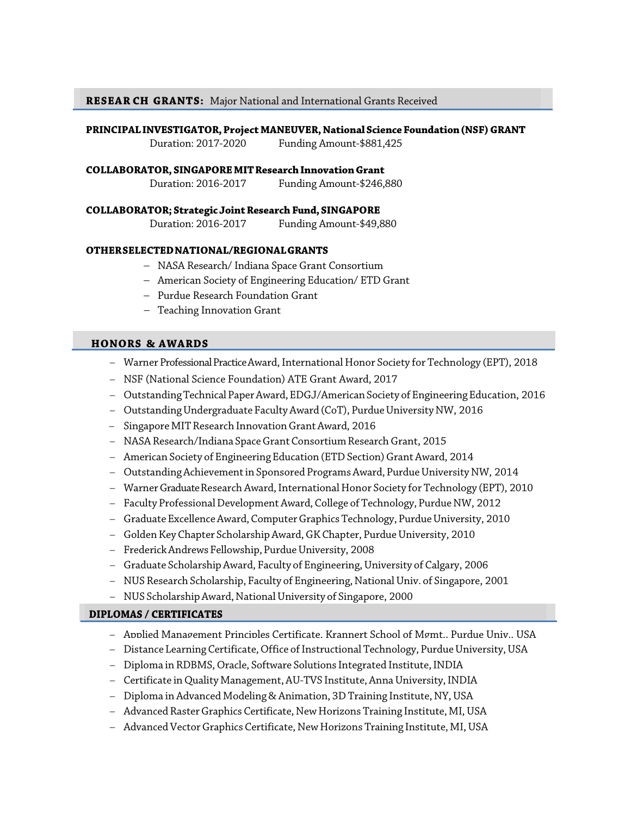**RESEAR CH GRANTS:** Major National and International Grants Received

#### **PRINCIPALINVESTIGATOR,Project MANEUVER, NationalScience Foundation(NSF)GRANT**

Duration: 2017-2020 Funding Amount-\$881,425

#### **COLLABORATOR, SINGAPOREMITResearchInnovationGrant**

Duration: 2016-2017 Funding Amount-\$246,880

#### **COLLABORATOR; Strategic JointResearch Fund,SINGAPORE**

Duration: 2016-2017 Funding Amount-\$49,880

#### **OTHERSELECTEDNATIONAL/REGIONALGRANTS**

- − NASA Research/ Indiana Space Grant Consortium
- − American Society of Engineering Education/ ETD Grant
- − Purdue Research Foundation Grant
- − Teaching Innovation Grant

## **HONORS & AWARDS**

- − Warner ProfessionalPracticeAward,International Honor Society for Technology (EPT), 2018
- − NSF (National Science Foundation) ATE Grant Award, 2017
- − OutstandingTechnical PaperAward,EDGJ/AmericanSociety of EngineeringEducation, 2016
- − OutstandingUndergraduate FacultyAward (CoT), PurdueUniversity NW, 2016
- − Singapore MITResearch InnovationGrantAward, 2016
- − NASA Research/Indiana SpaceGrantConsortiumResearchGrant, 2015
- − American Society of Engineering Education (ETDSection)GrantAward, 2014
- − OutstandingAchievementin Sponsored ProgramsAward, PurdueUniversity NW, 2014
- − WarnerGraduateResearch Award,International Honor Society for Technology (EPT), 2010
- − Faculty ProfessionalDevelopmentAward, College of Technology, Purdue NW, 2012
- − GraduateExcellenceAward,ComputerGraphics Technology, PurdueUniversity, 2010
- − GoldenKey Chapter ScholarshipAward,GKChapter, PurdueUniversity, 2010
- − FrederickAndrewsFellowship,PurdueUniversity, 2008
- − Graduate ScholarshipAward, Faculty of Engineering,University of Calgary, 2006
- − NUS Research Scholarship, Faculty of Engineering, NationalUniv. of Singapore, 2001
- − NUS ScholarshipAward, NationalUniversity of Singapore, 2000

#### **DIPLOMAS / CERTIFICATES**

- − Applied Management Principles Certificate, Krannert School of Mgmt., Purdue Univ., USA
- − Distance Learning Certificate, Office of Instructional Technology, Purdue University, USA
- − Diploma in RDBMS, Oracle, Software Solutions Integrated Institute,INDIA
- − Certificate in Quality Management,AU-TVS Institute,AnnaUniversity,INDIA
- − Diploma in Advanced Modeling & Animation, 3DTraining Institute, NY, USA
- − Advanced RasterGraphics Certificate, New Horizons Training Institute, MI,USA
- − AdvancedVectorGraphics Certificate, New Horizons Training Institute, MI,USA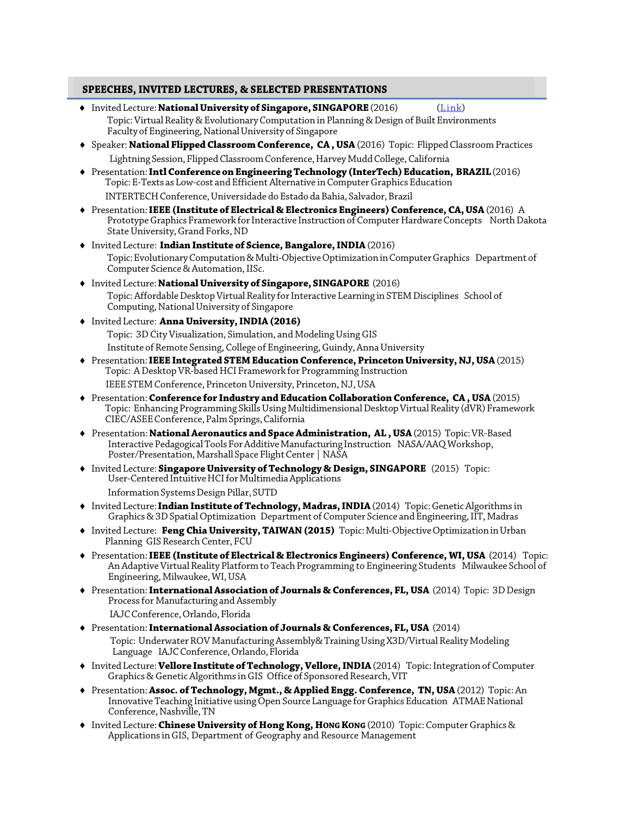#### **SPEECHES, INVITED LECTURES, & SELECTED PRESENTATIONS**

- $\bullet$  Invited Lecture: **National University of Singapore, SINGAPORE** (2016) (*Link*) Topic: Virtual Reality & Evolutionary Computation in Planning & Design of Built Environments Faculty of Engineering, National University of Singapore
- ♦ Speaker: **National FlippedClassroom Conference, CA , USA**(2016) Topic: FlippedClassroom Practices Lightning Session, Flipped Classroom Conference, Harvey Mudd College, California
- ♦ Presentation:**IntlConferenceonEngineeringTechnology (InterTech)Education, BRAZIL**(2016) Topic: E-Texts as Low-cost and Efficient Alternative inComputerGraphicsEducation INTERTECH Conference, Universidade do Estado da Bahia, Salvador, Brazil
- ♦ Presentation:**IEEE(Institute of Electrical & Electronics Engineers)Conference, CA,USA**(2016) A Prototype Graphics Framework for Interactive Instruction of Computer Hardware Concepts North Dakota State University, Grand Forks, ND
- ♦ Invited Lecture: **Indian Institute of Science,Bangalore,INDIA**(2016) Topic: Evolutionary Computation & Multi-Objective Optimization in Computer Graphics Department of Computer Science & Automation, IISc.
- ♦ Invited Lecture:**NationalUniversity of Singapore, SINGAPORE** (2016) Topic: Affordable Desktop Virtual Reality for Interactive Learning in STEM Disciplines School of Computing,NationalUniversity of Singapore
- ♦ Invited Lecture: **AnnaUniversity,INDIA(2016)** Topic: 3D City Visualization, Simulation, and Modeling Using GIS Institute of Remote Sensing, College of Engineering, Guindy, Anna University
- ♦ Presentation:**IEEEIntegrated STEMEducationConference,PrincetonUniversity, NJ,USA**(2015) Topic: A Desktop VR-based HCI Framework for Programming Instruction IEEE STEM Conference, Princeton University, Princeton, NJ, USA
- ♦ Presentation:**Conference for Industry and EducationCollaboration Conference, CA , USA**(2015) Topic: Enhancing Programming Skills Using Multidimensional Desktop Virtual Reality (dVR) Framework CIEC/ASEEConference,PalmSprings,California
- ♦ Presentation: **NationalAeronautics and SpaceAdministration, AL , USA**(2015) Topic:VR-Based Interactive Pedagogical Tools For Additive Manufacturing Instruction NASA/AAQ Workshop, Poster/Presentation, Marshall Space Flight Center | NASA
- ♦ Invited Lecture: **SingaporeUniversity of Technology & Design, SINGAPORE** (2015) Topic: User-Centered Intuitive HCI for Multimedia Applications Information Systems Design Pillar, SUTD
- ♦ Invited Lecture:**Indian Institute of Technology, Madras,INDIA**(2014) Topic:GeneticAlgorithms in Graphics & 3D Spatial Optimization Department of Computer Science and Engineering, IIT, Madras
- ◆ Invited Lecture: Feng Chia University, TAIWAN (2015) Topic: Multi-Objective Optimization in Urban Planning GIS Research Center, FCU
- ♦ Presentation:**IEEE (Institute of Electrical & Electronics Engineers) Conference, WI,USA** (2014) Topic: An Adaptive Virtual Reality Platform to Teach Programming to Engineering Students Milwaukee School of Engineering, Milwaukee, WI, USA
- ♦ Presentation:**InternationalAssociation of Journals & Conferences, FL,USA** (2014) Topic: 3DDesign Process for Manufacturing and Assembly IAJC Conference, Orlando, Florida
- ♦ Presentation:**InternationalAssociation of Journals & Conferences, FL,USA** (2014) Topic: Underwater ROV Manufacturing Assembly& Training Using X3D/Virtual Reality Modeling Language IAJC Conference, Orlando, Florida
- ♦ Invited Lecture:**Vellore Institute of Technology,Vellore,INDIA**(2014) Topic:Integrationof Computer Graphics & Genetic Algorithms in GIS Office of Sponsored Research, VIT
- ♦ Presentation:**Assoc. of Technology, Mgmt., & Applied Engg. Conference, TN,USA**(2012) Topic:An Innovative Teaching Initiative using Open Source Language for Graphics Education ATMAE National Conference, Nashville, TN
- ♦ Invited Lecture:**Chinese University of Hong Kong, HONGKONG** (2010) Topic:ComputerGraphics & Applications inGIS, Department of Geography and Resource Management